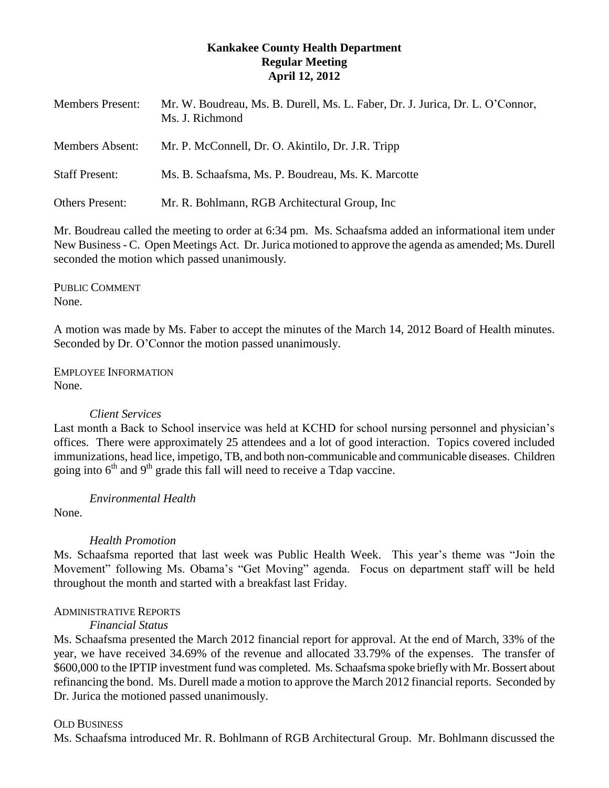#### **Kankakee County Health Department Regular Meeting April 12, 2012**

| <b>Members Present:</b> | Mr. W. Boudreau, Ms. B. Durell, Ms. L. Faber, Dr. J. Jurica, Dr. L. O'Connor,<br>Ms. J. Richmond |
|-------------------------|--------------------------------------------------------------------------------------------------|
| <b>Members Absent:</b>  | Mr. P. McConnell, Dr. O. Akintilo, Dr. J.R. Tripp                                                |
| <b>Staff Present:</b>   | Ms. B. Schaafsma, Ms. P. Boudreau, Ms. K. Marcotte                                               |
| <b>Others Present:</b>  | Mr. R. Bohlmann, RGB Architectural Group, Inc.                                                   |

Mr. Boudreau called the meeting to order at 6:34 pm. Ms. Schaafsma added an informational item under New Business - C. Open Meetings Act. Dr. Jurica motioned to approve the agenda as amended; Ms. Durell seconded the motion which passed unanimously.

PUBLIC COMMENT None.

A motion was made by Ms. Faber to accept the minutes of the March 14, 2012 Board of Health minutes. Seconded by Dr. O'Connor the motion passed unanimously.

EMPLOYEE INFORMATION None.

# *Client Services*

Last month a Back to School inservice was held at KCHD for school nursing personnel and physician's offices. There were approximately 25 attendees and a lot of good interaction. Topics covered included immunizations, head lice, impetigo, TB, and both non-communicable and communicable diseases. Children going into  $6<sup>th</sup>$  and  $9<sup>th</sup>$  grade this fall will need to receive a Tdap vaccine.

*Environmental Health*

None.

# *Health Promotion*

Ms. Schaafsma reported that last week was Public Health Week. This year's theme was "Join the Movement" following Ms. Obama's "Get Moving" agenda. Focus on department staff will be held throughout the month and started with a breakfast last Friday.

# ADMINISTRATIVE REPORTS

# *Financial Status*

Ms. Schaafsma presented the March 2012 financial report for approval. At the end of March, 33% of the year, we have received 34.69% of the revenue and allocated 33.79% of the expenses. The transfer of \$600,000 to the IPTIP investment fund was completed. Ms. Schaafsma spoke briefly with Mr. Bossert about refinancing the bond. Ms. Durell made a motion to approve the March 2012 financial reports. Seconded by Dr. Jurica the motioned passed unanimously.

# OLD BUSINESS

Ms. Schaafsma introduced Mr. R. Bohlmann of RGB Architectural Group. Mr. Bohlmann discussed the